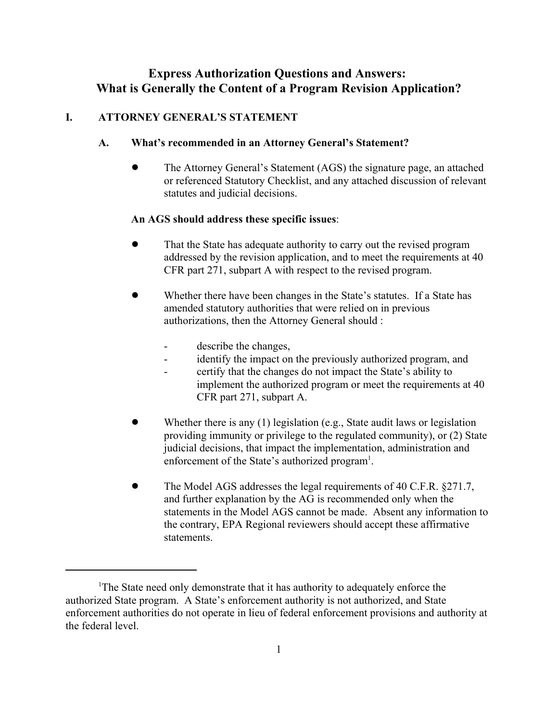# **Express Authorization Questions and Answers: What is Generally the Content of a Program Revision Application?**

### **I. ATTORNEY GENERAL'S STATEMENT**

#### **A. What's recommended in an Attorney General's Statement?**

! The Attorney General's Statement (AGS) the signature page, an attached or referenced Statutory Checklist, and any attached discussion of relevant statutes and judicial decisions.

#### **An AGS should address these specific issues**:

- ! That the State has adequate authority to carry out the revised program addressed by the revision application, and to meet the requirements at 40 CFR part 271, subpart A with respect to the revised program.
- Whether there have been changes in the State's statutes. If a State has amended statutory authorities that were relied on in previous authorizations, then the Attorney General should :
	- describe the changes,
	- identify the impact on the previously authorized program, and
	- certify that the changes do not impact the State's ability to implement the authorized program or meet the requirements at 40 CFR part 271, subpart A.
- Whether there is any  $(1)$  legislation (e.g., State audit laws or legislation providing immunity or privilege to the regulated community), or (2) State judicial decisions, that impact the implementation, administration and enforcement of the State's authorized program<sup>1</sup>.
- ! The Model AGS addresses the legal requirements of 40 C.F.R. §271.7, and further explanation by the AG is recommended only when the statements in the Model AGS cannot be made. Absent any information to the contrary, EPA Regional reviewers should accept these affirmative statements.

<sup>&</sup>lt;sup>1</sup>The State need only demonstrate that it has authority to adequately enforce the authorized State program. A State's enforcement authority is not authorized, and State enforcement authorities do not operate in lieu of federal enforcement provisions and authority at the federal level.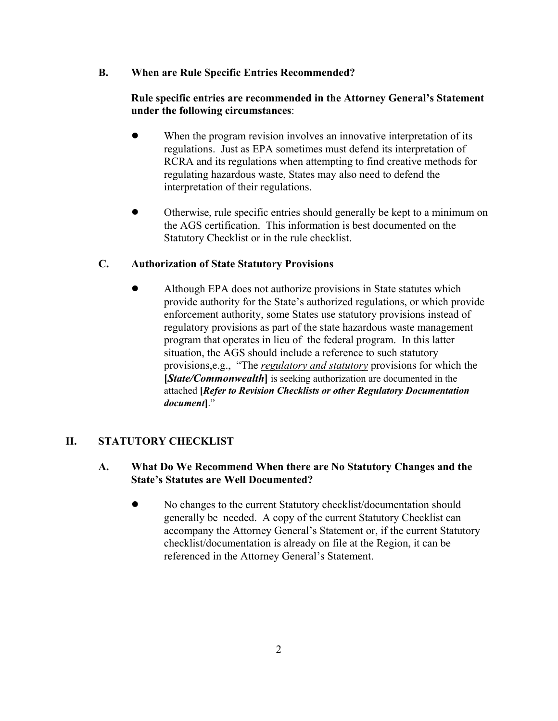### **B. When are Rule Specific Entries Recommended?**

# **Rule specific entries are recommended in the Attorney General's Statement under the following circumstances**:

- When the program revision involves an innovative interpretation of its regulations. Just as EPA sometimes must defend its interpretation of RCRA and its regulations when attempting to find creative methods for regulating hazardous waste, States may also need to defend the interpretation of their regulations.
- ! Otherwise, rule specific entries should generally be kept to a minimum on the AGS certification. This information is best documented on the Statutory Checklist or in the rule checklist.

# **C. Authorization of State Statutory Provisions**

• Although EPA does not authorize provisions in State statutes which provide authority for the State's authorized regulations, or which provide enforcement authority, some States use statutory provisions instead of regulatory provisions as part of the state hazardous waste management program that operates in lieu of the federal program. In this latter situation, the AGS should include a reference to such statutory provisions,e.g., "The *regulatory and statutory* provisions for which the **[***State/Commonwealth***]** is seeking authorization are documented in the attached **[***Refer to Revision Checklists or other Regulatory Documentation document***]**."

# **II. STATUTORY CHECKLIST**

# **A. What Do We Recommend When there are No Statutory Changes and the State's Statutes are Well Documented?**

• No changes to the current Statutory checklist/documentation should generally be needed. A copy of the current Statutory Checklist can accompany the Attorney General's Statement or, if the current Statutory checklist/documentation is already on file at the Region, it can be referenced in the Attorney General's Statement.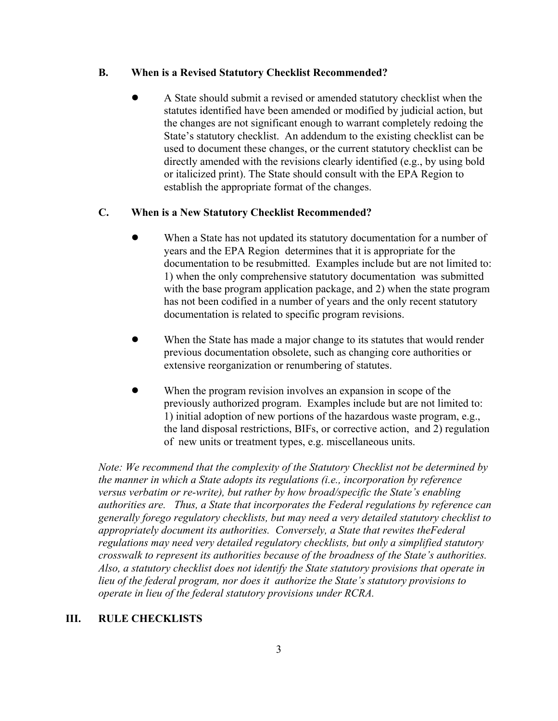#### **B. When is a Revised Statutory Checklist Recommended?**

! A State should submit a revised or amended statutory checklist when the statutes identified have been amended or modified by judicial action, but the changes are not significant enough to warrant completely redoing the State's statutory checklist. An addendum to the existing checklist can be used to document these changes, or the current statutory checklist can be directly amended with the revisions clearly identified (e.g., by using bold or italicized print). The State should consult with the EPA Region to establish the appropriate format of the changes.

### **C. When is a New Statutory Checklist Recommended?**

- When a State has not updated its statutory documentation for a number of years and the EPA Region determines that it is appropriate for the documentation to be resubmitted. Examples include but are not limited to: 1) when the only comprehensive statutory documentation was submitted with the base program application package, and 2) when the state program has not been codified in a number of years and the only recent statutory documentation is related to specific program revisions.
- When the State has made a major change to its statutes that would render previous documentation obsolete, such as changing core authorities or extensive reorganization or renumbering of statutes.
- When the program revision involves an expansion in scope of the previously authorized program. Examples include but are not limited to: 1) initial adoption of new portions of the hazardous waste program, e.g., the land disposal restrictions, BIFs, or corrective action, and 2) regulation of new units or treatment types, e.g. miscellaneous units.

*Note: We recommend that the complexity of the Statutory Checklist not be determined by the manner in which a State adopts its regulations (i.e., incorporation by reference versus verbatim or re-write), but rather by how broad/specific the State's enabling authorities are. Thus, a State that incorporates the Federal regulations by reference can generally forego regulatory checklists, but may need a very detailed statutory checklist to appropriately document its authorities. Conversely, a State that rewites theFederal regulations may need very detailed regulatory checklists, but only a simplified statutory crosswalk to represent its authorities because of the broadness of the State's authorities. Also, a statutory checklist does not identify the State statutory provisions that operate in lieu of the federal program, nor does it authorize the State's statutory provisions to operate in lieu of the federal statutory provisions under RCRA.*

### **III. RULE CHECKLISTS**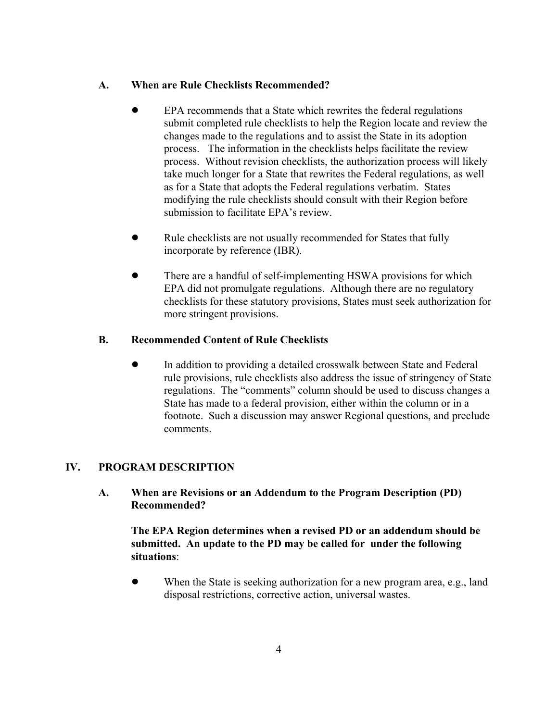### **A. When are Rule Checklists Recommended?**

- EPA recommends that a State which rewrites the federal regulations submit completed rule checklists to help the Region locate and review the changes made to the regulations and to assist the State in its adoption process. The information in the checklists helps facilitate the review process. Without revision checklists, the authorization process will likely take much longer for a State that rewrites the Federal regulations, as well as for a State that adopts the Federal regulations verbatim. States modifying the rule checklists should consult with their Region before submission to facilitate EPA's review.
- Rule checklists are not usually recommended for States that fully incorporate by reference (IBR).
- There are a handful of self-implementing HSWA provisions for which EPA did not promulgate regulations. Although there are no regulatory checklists for these statutory provisions, States must seek authorization for more stringent provisions.

### **B. Recommended Content of Rule Checklists**

• In addition to providing a detailed crosswalk between State and Federal rule provisions, rule checklists also address the issue of stringency of State regulations. The "comments" column should be used to discuss changes a State has made to a federal provision, either within the column or in a footnote. Such a discussion may answer Regional questions, and preclude comments.

# **IV. PROGRAM DESCRIPTION**

**A. When are Revisions or an Addendum to the Program Description (PD) Recommended?**

**The EPA Region determines when a revised PD or an addendum should be submitted. An update to the PD may be called for under the following situations**:

• When the State is seeking authorization for a new program area, e.g., land disposal restrictions, corrective action, universal wastes.